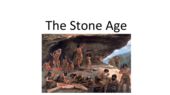#### The Stone Age

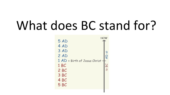#### What does BC stand for?

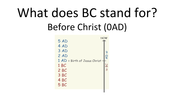#### What does BC stand for? Before Christ (0AD)

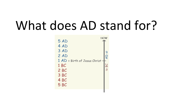#### What does AD stand for?

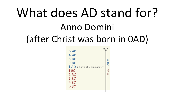#### What does AD stand for? Anno Domini (after Christ was born in 0AD)

| NOW                            |  |
|--------------------------------|--|
| 5 AD                           |  |
| 4 AD                           |  |
| 3 AD                           |  |
| 2AD                            |  |
| 1 AD = Birth of Jesus Christ - |  |
| 1 <sub>BC</sub>                |  |
| 2 <sub>BC</sub>                |  |
| 3 BC                           |  |
| 4 <sub>BC</sub>                |  |
| 5 <sub>BC</sub>                |  |
|                                |  |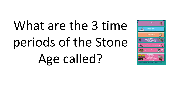## What are the 3 time periods of the Stone Age called?

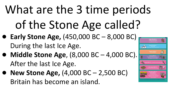#### What are the 3 time periods of the Stone Age called?

- **Early Stone Age,** (450,000 BC 8,000 BC) During the last Ice Age.
- **Middle Stone Age**, (8,000 BC 4,000 BC). After the last Ice Age.
- **New Stone Age, (4,000 BC 2,500 BC)** Britain has become an island.

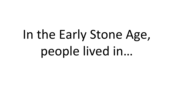## In the Early Stone Age, people lived in…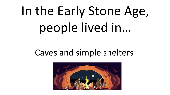## In the Early Stone Age, people lived in…

#### Caves and simple shelters

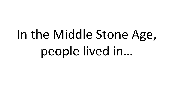## In the Middle Stone Age, people lived in…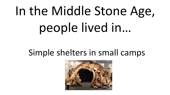## In the Middle Stone Age, people lived in…

#### Simple shelters in small camps

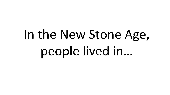## In the New Stone Age, people lived in…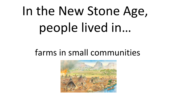## In the New Stone Age, people lived in…

#### farms in small communities

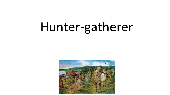#### Hunter-gatherer

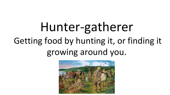#### Hunter-gatherer Getting food by hunting it, or finding it growing around you.

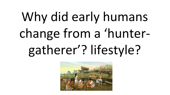## Why did early humans change from a 'huntergatherer'? lifestyle?

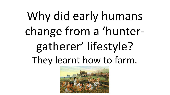#### Why did early humans change from a 'huntergatherer' lifestyle? They learnt how to farm.

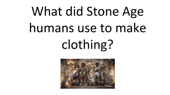## What did Stone Age humans use to make clothing?

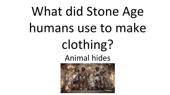### What did Stone Age humans use to make clothing? Animal hides

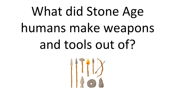## What did Stone Age humans make weapons and tools out of?